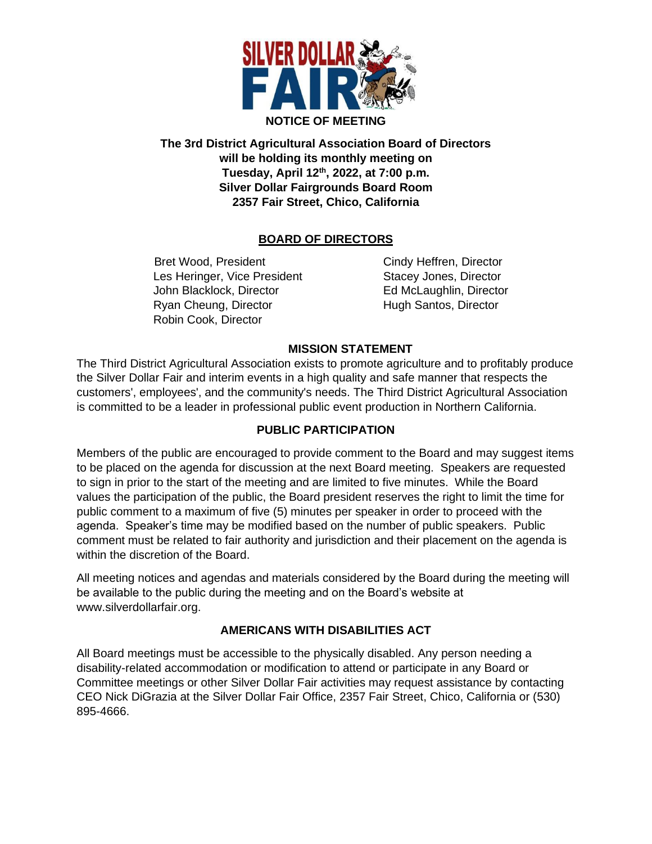

**The 3rd District Agricultural Association Board of Directors will be holding its monthly meeting on Tuesday, April 12th , 2022, at 7:00 p.m. Silver Dollar Fairgrounds Board Room 2357 Fair Street, Chico, California**

# **BOARD OF DIRECTORS**

Bret Wood, President Cindy Heffren, Director Les Heringer, Vice President Stacey Jones, Director John Blacklock, Director **Ed McLaughlin, Director** Ryan Cheung, Director **Hugh Santos, Director** Robin Cook, Director

#### **MISSION STATEMENT**

The Third District Agricultural Association exists to promote agriculture and to profitably produce the Silver Dollar Fair and interim events in a high quality and safe manner that respects the customers', employees', and the community's needs. The Third District Agricultural Association is committed to be a leader in professional public event production in Northern California.

# **PUBLIC PARTICIPATION**

Members of the public are encouraged to provide comment to the Board and may suggest items to be placed on the agenda for discussion at the next Board meeting. Speakers are requested to sign in prior to the start of the meeting and are limited to five minutes. While the Board values the participation of the public, the Board president reserves the right to limit the time for public comment to a maximum of five (5) minutes per speaker in order to proceed with the agenda. Speaker's time may be modified based on the number of public speakers. Public comment must be related to fair authority and jurisdiction and their placement on the agenda is within the discretion of the Board.

All meeting notices and agendas and materials considered by the Board during the meeting will be available to the public during the meeting and on the Board's website at www.silverdollarfair.org.

# **AMERICANS WITH DISABILITIES ACT**

All Board meetings must be accessible to the physically disabled. Any person needing a disability-related accommodation or modification to attend or participate in any Board or Committee meetings or other Silver Dollar Fair activities may request assistance by contacting CEO Nick DiGrazia at the Silver Dollar Fair Office, 2357 Fair Street, Chico, California or (530) 895-4666.